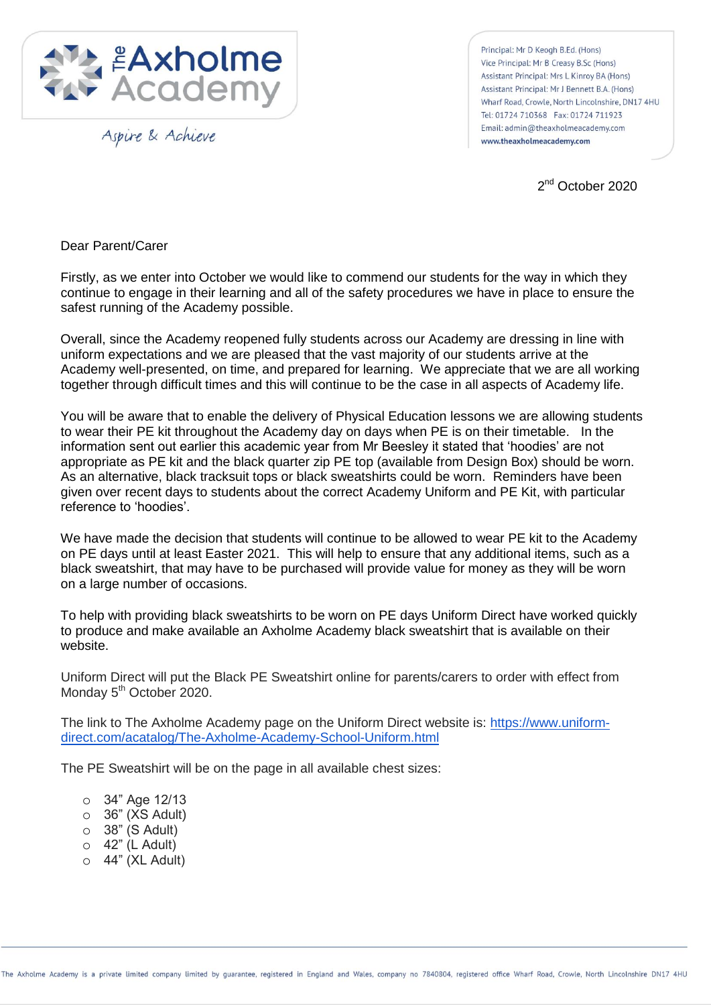

Aspire & Achieve

Principal: Mr D Keogh B.Ed. (Hons) Vice Principal: Mr B Creasy B.Sc (Hons) Assistant Principal: Mrs L Kinroy BA (Hons) Assistant Principal: Mr J Bennett B.A. (Hons) Wharf Road, Crowle, North Lincolnshire, DN17 4HU Tel: 01724 710368 Fax: 01724 711923 Email: admin@theaxholmeacademy.com www.theaxholmeacademy.com

2<sup>nd</sup> October 2020

Dear Parent/Carer

Firstly, as we enter into October we would like to commend our students for the way in which they continue to engage in their learning and all of the safety procedures we have in place to ensure the safest running of the Academy possible.

Overall, since the Academy reopened fully students across our Academy are dressing in line with uniform expectations and we are pleased that the vast majority of our students arrive at the Academy well-presented, on time, and prepared for learning. We appreciate that we are all working together through difficult times and this will continue to be the case in all aspects of Academy life.

You will be aware that to enable the delivery of Physical Education lessons we are allowing students to wear their PE kit throughout the Academy day on days when PE is on their timetable. In the information sent out earlier this academic year from Mr Beesley it stated that "hoodies" are not appropriate as PE kit and the black quarter zip PE top (available from Design Box) should be worn. As an alternative, black tracksuit tops or black sweatshirts could be worn. Reminders have been given over recent days to students about the correct Academy Uniform and PE Kit, with particular reference to "hoodies".

We have made the decision that students will continue to be allowed to wear PE kit to the Academy on PE days until at least Easter 2021. This will help to ensure that any additional items, such as a black sweatshirt, that may have to be purchased will provide value for money as they will be worn on a large number of occasions.

To help with providing black sweatshirts to be worn on PE days Uniform Direct have worked quickly to produce and make available an Axholme Academy black sweatshirt that is available on their website.

Uniform Direct will put the Black PE Sweatshirt online for parents/carers to order with effect from Monday 5<sup>th</sup> October 2020.

The link to The Axholme Academy page on the Uniform Direct website is: [https://www.uniform](https://www.uniform-direct.com/acatalog/The-Axholme-Academy-School-Uniform.html)[direct.com/acatalog/The-Axholme-Academy-School-Uniform.html](https://www.uniform-direct.com/acatalog/The-Axholme-Academy-School-Uniform.html)

The PE Sweatshirt will be on the page in all available chest sizes:

- o 34" Age 12/13
- $\circ$  36" (XS Adult)
- o 38" (S Adult)
- $\circ$  42" (L Adult)
- o 44" (XL Adult)